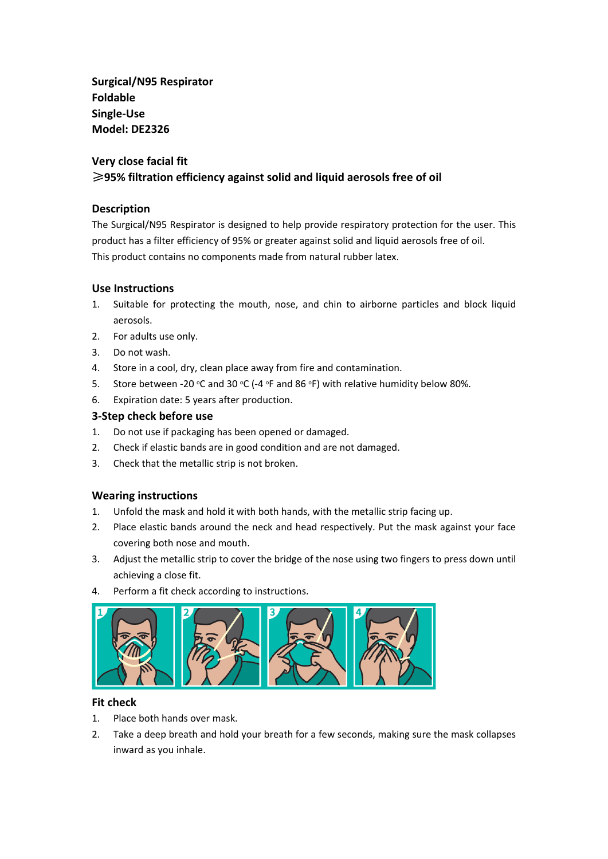**Surgical/N95 Respirator Foldable Single-Use Model: DE2326**

# **Very close facial fit**

## ≥**95% filtration efficiency against solid and liquid aerosols free of oil**

## **Description**

The Surgical/N95 Respirator is designed to help provide respiratory protection for the user. This product has a filter efficiency of 95% or greater against solid and liquid aerosols free of oil. This product contains no components made from natural rubber latex.

## **Use Instructions**

- 1. Suitable for protecting the mouth, nose, and chin to airborne particles and block liquid aerosols.
- 2. For adults use only.
- 3. Do not wash.
- 4. Store in a cool, dry, clean place away from fire and contamination.
- 5. Store between -20  $\degree$ C and 30  $\degree$ C (-4  $\degree$ F and 86  $\degree$ F) with relative humidity below 80%.
- 6. Expiration date: 5 years after production.

## **3-Step check before use**

- 1. Do not use if packaging has been opened or damaged.
- 2. Check if elastic bands are in good condition and are not damaged.
- 3. Check that the metallic strip is not broken.

## **Wearing instructions**

- 1. Unfold the mask and hold it with both hands, with the metallic strip facing up.
- 2. Place elastic bands around the neck and head respectively. Put the mask against your face covering both nose and mouth.
- 3. Adjust the metallic strip to cover the bridge of the nose using two fingers to press down until achieving a close fit.
- 4. Perform a fit check according to instructions.



#### **Fit check**

- 1. Place both hands over mask.
- 2. Take a deep breath and hold your breath for a few seconds, making sure the mask collapses inward as you inhale.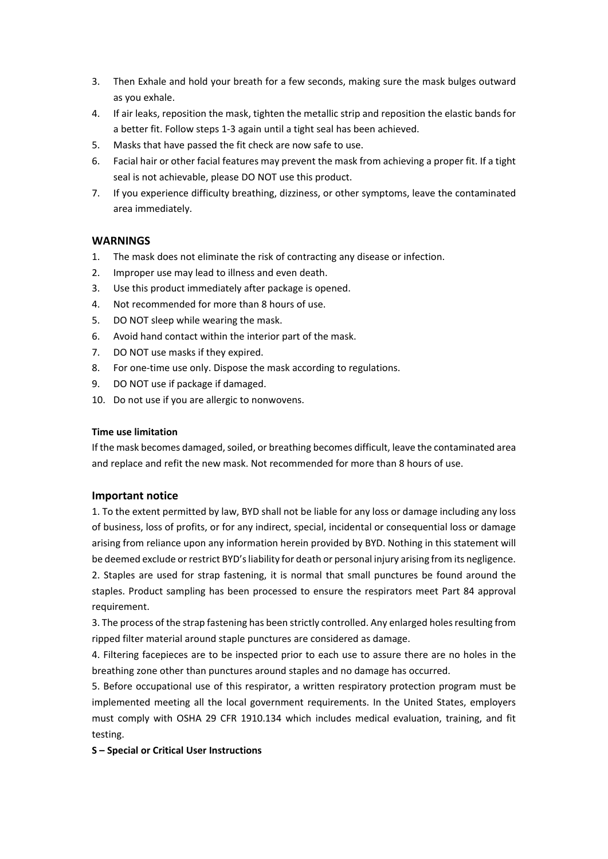- 3. Then Exhale and hold your breath for a few seconds, making sure the mask bulges outward as you exhale.
- 4. If air leaks, reposition the mask, tighten the metallic strip and reposition the elastic bands for a better fit. Follow steps 1-3 again until a tight seal has been achieved.
- 5. Masks that have passed the fit check are now safe to use.
- 6. Facial hair or other facial features may prevent the mask from achieving a proper fit. If a tight seal is not achievable, please DO NOT use this product.
- 7. If you experience difficulty breathing, dizziness, or other symptoms, leave the contaminated area immediately.

#### **WARNINGS**

- 1. The mask does not eliminate the risk of contracting any disease or infection.
- 2. Improper use may lead to illness and even death.
- 3. Use this product immediately after package is opened.
- 4. Not recommended for more than 8 hours of use.
- 5. DO NOT sleep while wearing the mask.
- 6. Avoid hand contact within the interior part of the mask.
- 7. DO NOT use masks if they expired.
- 8. For one-time use only. Dispose the mask according to regulations.
- 9. DO NOT use if package if damaged.
- 10. Do not use if you are allergic to nonwovens.

#### **Time use limitation**

If the mask becomes damaged, soiled, or breathing becomes difficult, leave the contaminated area and replace and refit the new mask. Not recommended for more than 8 hours of use.

#### **Important notice**

1. To the extent permitted by law, BYD shall not be liable for any loss or damage including any loss of business, loss of profits, or for any indirect, special, incidental or consequential loss or damage arising from reliance upon any information herein provided by BYD. Nothing in this statement will be deemed exclude or restrict BYD's liability for death or personal injury arising from its negligence. 2. Staples are used for strap fastening, it is normal that small punctures be found around the staples. Product sampling has been processed to ensure the respirators meet Part 84 approval requirement.

3. The process of the strap fastening has been strictly controlled. Any enlarged holes resulting from ripped filter material around staple punctures are considered as damage.

4. Filtering facepieces are to be inspected prior to each use to assure there are no holes in the breathing zone other than punctures around staples and no damage has occurred.

5. Before occupational use of this respirator, a written respiratory protection program must be implemented meeting all the local government requirements. In the United States, employers must comply with OSHA 29 CFR 1910.134 which includes medical evaluation, training, and fit testing.

#### **S – Special or Critical User Instructions**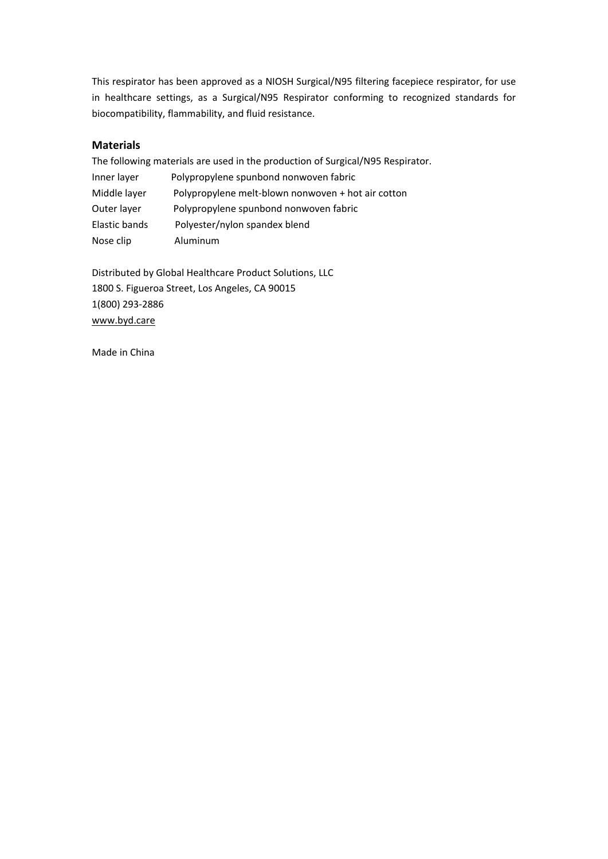This respirator has been approved as a NIOSH Surgical/N95 filtering facepiece respirator, for use in healthcare settings, as a Surgical/N95 Respirator conforming to recognized standards for biocompatibility, flammability, and fluid resistance.

#### **Materials**

The following materials are used in the production of Surgical/N95 Respirator. Inner layer Polypropylene spunbond nonwoven fabric Middle layer Polypropylene melt-blown nonwoven + hot air cotton Outer layer Polypropylene spunbond nonwoven fabric Elastic bands Polyester/nylon spandex blend Nose clip Aluminum

Distributed by Global Healthcare Product Solutions, LLC 1800 S. Figueroa Street, Los Angeles, CA 90015 1(800) 293-2886 [www.byd.care](http://www.byd.care/)

Made in China